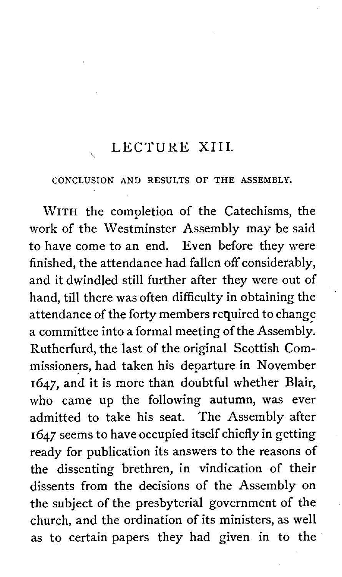#### LECTURE XIII.

#### CONCLUSION AND RESULTS OF THE ASSEMBLY.

WITH the completion of the Catechisms, the work of the Westminster Assembly may be said to have come to an end. Even before they were finished, the attendance had fallen off considerably, and it dwindled still further after they were out of hand, till there was often difficulty in obtaining the attendance of the forty members required to change a committee into a formal meeting of the Assembly. Rutherfurd, the last of the original Scottish Commissioners, had taken his departure in November 1647, and it is more than doubtful whether Blair, who came up the following autumn, was ever admitted to take his seat. The Assembly after **1647** seems to have occupied itself chiefly in getting ready for publication its answers to the reasons of the dissenting brethren, in vindication of their dissents from the decisions of the Assembly on the subject of the presbyterial government of the church, and the ordination of its ministers, as well as to certain papers they had given in to the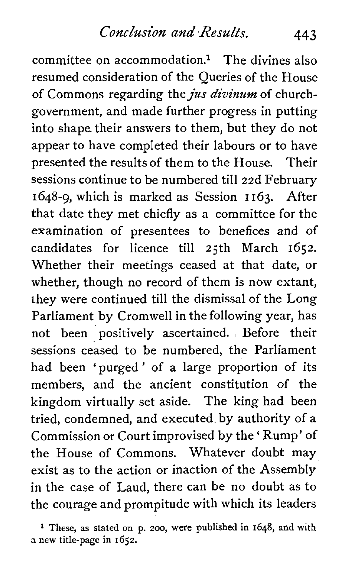committee on accommodation.<sup>1</sup> The divines also resumed consideration of the Queries of the House of Commons regarding the *jus divinum* of churchgovernment, and made further progress in putting into shape their answers to them, but they do not appear to have completed their labours or to have presented the results of them to the House. Their sessions continue to be numbered till 22d February 1648-9, which is marked as Session I 163. After that date they met chiefly as a committee for the examination of presentees to benefices and of candidates for licence till 25th March 1652. Whether their meetings ceased at that date, or whether, though no record of them is now extant, they were continued till the dismissal of the Long Parliament by Cromwell in the following year, has not been positively ascertained. , Before their sessions ceased to be numbered, the Parliament had been 'purged' of a large proportion of its members, and the ancient constitution of the kingdom virtually set aside. The king had been tried, condemned, and executed by authority of a Commission or Court improvised by the ' Rump' of the House of Commons. Whatever doubt may exist as to the action or inaction of the Assembly in the case of Laud, there can be no doubt as to the courage and prompitude with which its leaders

**1** These, as stated on p. 200, were published in 1648, and with **a** new title-page in 1652.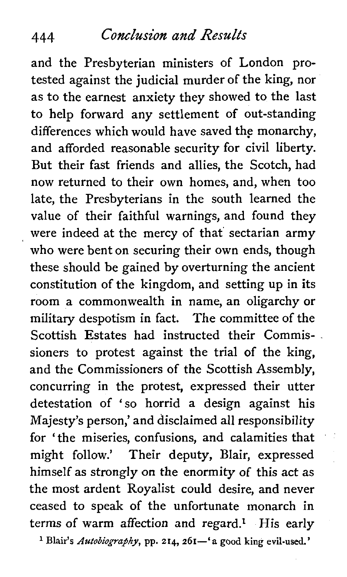and the Presbyterian ministers of London protested against the judicial murder of the king, nor as to the earnest anxiety they showed to the last to help forward any settlement of out-standing differences which would have saved the monarchy, and afforded reasonable security for civil liberty. But their fast friends and allies, the Scotch, had now returned to their own homes, and, when too late, the Presbyterians in the south learned the value of their faithful warnings, and found they were indeed at the mercy of that' sectarian army who were bent on securing their own ends, though these should be gained by overturning the ancient constitution of the kingdom, and setting up in its room a commonwealth in name, an oligarchy or military despotism in fact. The committee of the Scottish Estates had instructed their Commissioners to protest against the trial of the king, and the Commissioners of the Scottish Assembly, concurring in the protest, expressed their utter detestation of 'so horrid a design against his Majesty's person,' and disclaimed all responsibility for ' the miseries, confusions, and calamities that might follow.' Their deputy, Blair, expressed himself as strongly on the enormity of this act as the most ardent Royalist could desire, and never ceased to speak of the unfortunate monarch in terms of warm affection and regard.<sup>1</sup> His early <sup>1</sup> Blair's *Autobiography*, pp. 214, 261-'a good king evil-used.'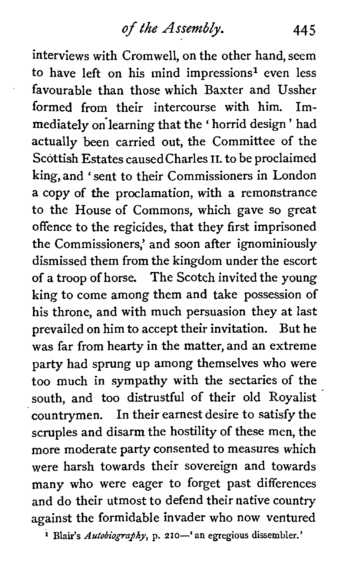interviews with Cromwell, on the other hand, seem to have left on his mind impressions<sup>1</sup> even less favourable than those which Baxter and Ussher formed from their intercourse with him. Immediately on learning that the 'horrid design' had actually been carried out, the Committee of the Scottish Estates causedcharles **11.** to be proclaimed king, and 'sent to their Commissioners in London a copy of the proclamation, with a remonstrance to the House of Commons, which gave so great offence to the regicides, that they first imprisoned the Commissioners,' and soon after ignominiously dismissed them from the kingdom under the escort of a troop of horse. The Scotch invited the young king to come among them and take possession of his throne, and with much persuasion they at last prevailed on him to accept their invitation. But he was far from hearty in the matter, and an extreme party had sprung up among themselves who were too much in sympathy with the sectaries of the south, and too distrustful of their old Royalist countrymen. In their earnest desire to satisfy the scruples and disarm the hostility of these men, the more moderate party consented to measures which were harsh towards their sovereign and towards many who were eager to forget past differences and do their utmost to defend their native country against the formidable invader who now ventured

<sup>1</sup> Blair's *Autobiography*, p. 210-' an egregious dissembler.'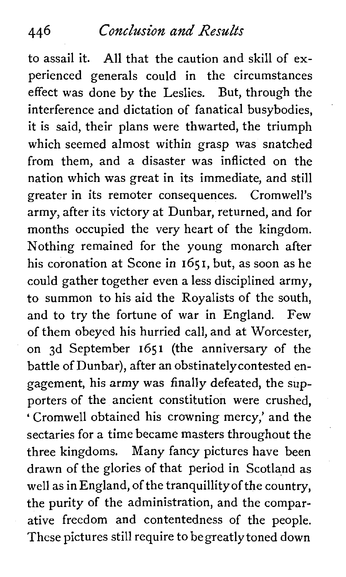to assail it. All that the caution and skill of experienced generals could in the circumstances effect was done by the Leslies. But, through the interference and dictation of fanatical busybodies, it is said, their plans were thwarted, the triumph which seemed almost within grasp was snatched from them, and a disaster was inflicted on the nation which was great in its immediate, and still greater in its remoter consequences. Cromwell's army, after its victory at Dunbar, returned, and for months occupied the very heart of the kingdom. Nothing remained for the young monarch after his coronation at Scone in 1651, but, as soon as he could gather together even a less disciplined army, to summon to his aid the Royalists of the south, and to try the fortune of war in England. Few of them obeyed his hurried call, and at Worcester, on 3d September 1651 (the anniversary of the battle of Dunbar), after an obstinatelycontested engagement, his army was finally defeated, the supporters of the ancient constitution were crushed, ' Cromwell obtained his crowning mercy,' and the sectaries for a time became masters throughout the three kingdoms. Many fancy pictures have been drawn of the glories of that period in Scotland as well as in England, of the tranquillityof the country, the purity of the administration, and the comparative freedom and contentedness of the people. These pictures still require to begreatlytoned down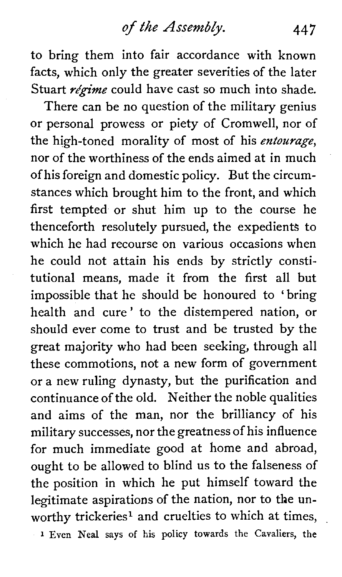to bring them into fair accordance with known facts, which only the greater severities of the later Stuart  $r$ égime could have cast so much into shade.

There can be no question of the military genius or personal prowess or piety of Cromwell, nor of the high-toned morality of most of his entourage, nor of the worthiness of the ends aimed at in much of his foreign and domestic policy. But the circumstances which brought him to the front, and which first tempted or shut him up to the course he thenceforth resolutely pursued, the expedients to which he had recourse on various occasions when he could not attain his ends by strictly constitutional means, made it from the first all but impossible that he should be honoured to 'bring health and cure' to the distempered nation, or should ever come to trust and be trusted by the great majority who had been seeking, through all these commotions, not a new form of government or a new ruling dynasty, but the purification and continuance of the old. Neither the noble qualities and aims of the man, nor the brilliancy of his military successes, nor the greatness of his influence for much immediate good at home and abroad, ought to be allowed to blind us to the falseness of the position in which he put himself toward the legitimate aspirations of the nation, nor to the unworthy trickeries<sup>1</sup> and cruelties to which at times, **1 Even** Neal says of his policy towards the Cavaliers, the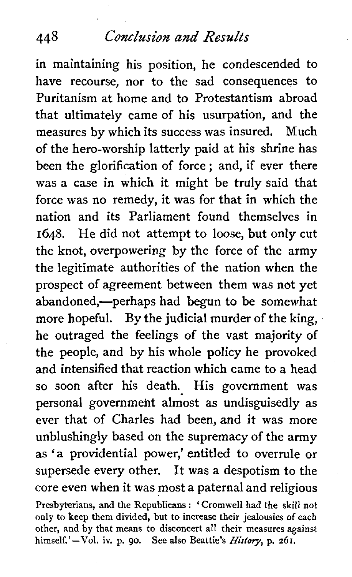in maintaining his position, he condescended to have recourse, nor to the sad consequences to Puritanism at home and to Protestantism abroad that ultimately came of his usurpation, and the measures by which its success was insured. Much of the hero-worship latterly paid at his shrine has been the glorification of force ; and, if ever there was a case in which it might be truly said that force was no remedy, it was for that in which the nation and its Parliament found themselves in **1648.** He did not attempt to loose, but only cut the knot, overpowering by the force of the army the legitimate authorities of the nation when the prospect of agreement between them was not yet abandoned,—perhaps had begun to be somewhat more hopeful. By the judicial murder of the king, he outraged the feelings of the vast majority of the people, and by his whole policy he provoked and intensified that reaction which came to a head so soon after his death. His government was personal government almost as undisguisedly as ever that of Charles had been, and it was more unblushingly based on the supremacy of the army as 'a providential power,' entitled to overrule or supersede every other. It was a despotism to the core even when it was most a paternal and religious **Presbyterians, and the Republicans** : **'Cromwell had the skill not only to keep them divided, but to increase their jealousies of each other, and by that means to disconcert all their measures against himself.'-Vol. iv. p. go. See also Beattie's** History, **p. 261.**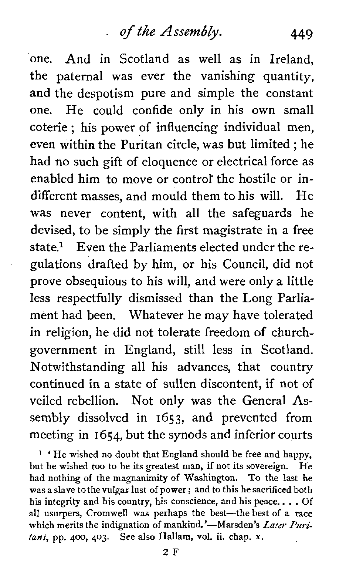one. And in Scotland as well as in Ireland, the paternal was ever the vanishing quantity, and the despotism pure and simple the constant one. He could confide only in his own small coterie ; his power of influencing individual men, even within the Puritan circle, was but limited ; he had no such gift of eloquence or electrical force as enabled him to move or control' the hostile or indifferent masses, and mould them to his will. He was never content, with all the safeguards he devised, to be simply the first magistrate in a free state.<sup>1</sup> Even the Parliaments elected under the regulations drafted by him, or his Council, did not prove obsequious to his will, and were only a little less respectfully dismissed than the Long Parliament had been. Whatever he may have tolerated in religion, he did not tolerate freedom of churchgovernment in England, still less in Scotland. Notwithstanding all his advances, that country continued in a state of sullen discontent, if not of veiled rebellion. Not only was the General **As**sembly dissolved in 1653, and prevented from meeting in 1654, but the synods and inferior courts

**<sup>1</sup>**' He wished no doubt that England should be free and happy, but he wished too to be its greatest man, if not its sovereign. He had nothing of the magnanimity of Washington. To the last he was a slave to the vulgar lust of power ; and to this he sacrificed both his integrity and his country, his conscience, and his peace.. . . Of all usurpers, Cromwell was perhaps the best-the best of a race which merits the indignation of mankind.'-Marsden's Later Puri*tans,* pp. 400, **403.** See also Hallam, vol. ii. chap. **X.**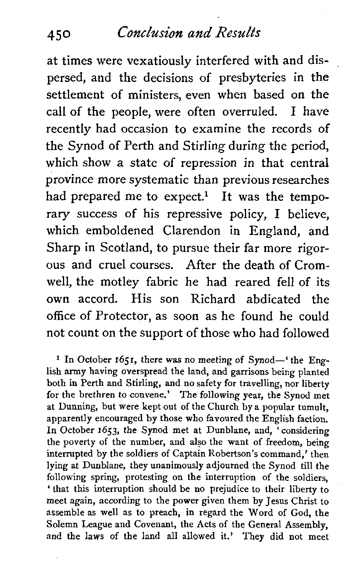at times were vexatiously interfered with and dispersed, and the decisions of presbyteries in the settlement of ministers, even when based on the call of the people, were often overruled. **1** have recently had occasion to examine the records of the Synod of Perth and Stirling during the period, which show a state of repression in that central province more systematic than previous researches had prepared me to expect.<sup>1</sup> It was the temporary success of his repressive policy, 1 believe, which emboldened Clarendon in England, and Sharp in Scotland, to pursue their far more rigorous and cruel courses. After the death of Cromwell, the motley fabric he had reared fell of its own accord. His son Richard abdicated the office of Protector, as soon as he found he could not count on the support of those who had followed

<sup>1</sup> In October **1651**, there was no meeting of Synod-' the English army having overspread the land, and garrisons being planted both in Perth and Stirling, and no safety for travelling, nor liberty for the brethren to convene.' The following year, the Synod met at Dunning, but were kept out of the Church by a popular tumult, apparently encouraged by those who favoured the English faction. In October **1653,** the Synod met at Dunblane, and, 'considering the poverty of the number, and also the want of freedom, being interrupted by the soldiers of Captain Robertson's command,' then lying at Dunblane, ihey unanimously adjourned the Synod till the following spring, protesting on the interruption of the soldiers, 'that this interruption should be no prejudice to their liberty to meet again, according to the power given them by Jesus Christ to assemble as well as to preach, in regard the Word of God, the Solemn League and Covenant, the Acts of the General Assembly, and the laws of the land all allowed it.' They did not meet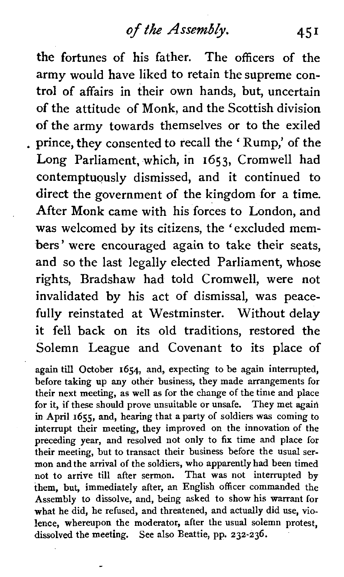# *ofthe* **Assembly.** 45 1

the fortunes of his father. The officers of the army would have liked to retain the supreme control of affairs in their own hands, but, uncertain of the attitude of Monk, and the Scottish division of the army towards themselves or to the exiled prince, they consented to recall the ' Rump,' of the Long Parliament, which, in 1653, Cromwell had contemptuously dismissed, and it continued to direct the government of the kingdom for a time. After Monk came with his forces to London, and was welcomed by its citizens, the 'excluded members' were encouraged again to take their seats, and so the last legally elected Parliament, whose rights, Bradshaw had told Cromwell, were not invalidated by his act of dismissal, was peacefully reinstated at Westminster. Without delay it fell back on its old traditions, restored the Solemn League and Covenant to its place of

again till October **1654,** and, expecting to be again interrupted, before taking up any other business, they made arrangements for their next meeting, as well as for the change of the time and place for it, if these should prove unsuitable or unsafe. They met again in April 1655, and, hearing that a party of soldiers was coming to interrupt their meeting, they improved on the innovation of the preceding year, and resolved not only to fix time and place for their meeting, but to transact their business before the usual sermon and the arrival of the soldiers, who apparently had been timed not to arrive till after sermon. That was not interrupted by them, but, immediately after, an English officer commanded the Assembly to dissolve, and, being asked to show his warrant for what he did, he refused, and threatened, and actually did use, violence, whereupon the moderator, after the usual solemn protest. dissolved the meeting. See also Beattie, pp. **232-236.**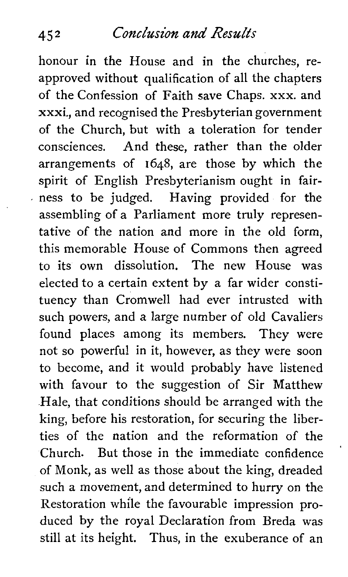honour in the House and in the churches, reapproved without qualification of all the chapters of the Confession of Faith save Chaps. xxx. and xxxi., and recognised the Presbyterian government of the Church, but with a toleration for tender consciences. And these, rather than the older arrangements of 1648, are those by which the spirit of English Presbyterianism ought in fairness to be judged. Having provided for the assembling of a Parliament more truly representative of the nation and more in the old form, this memorable House of Commons then agreed to its own dissolution. The new House was elected to a certain extent by a far wider constituency than Cromwell had ever intrusted with such powers, and a large number of old Cavaliers found places among its members. They were not so powerful in it, however, as they were soon to become, and it would probably have listened with favour to the suggestion of Sir Matthew Hale, that conditions should be arranged with the king, before his restoration, for securing the liberties of the nation and the reformation of the Church. But those in the immediate confidence of Monk, as well as those about the king, dreaded such a movement, and determined to hurry on the Restoration while the favourable impression produced by the royal Declaration from Breda was still at its height. Thus, in the exuberance of an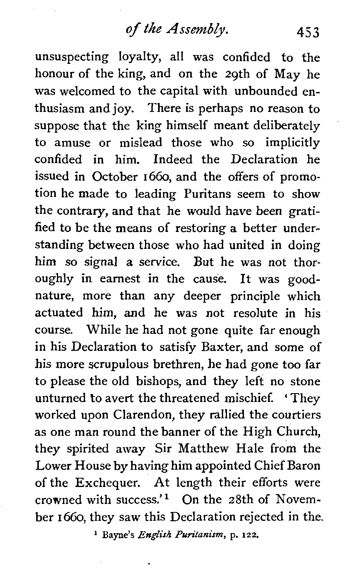unsuspecting loyalty, all was confided to the honour of the king, and on the 29th of May he was welcomed to the capital with unbounded enthusiasm and joy. There is perhaps no reason to suppose that the king himself meant deliberately to amuse or mislead those who so implicitly confided in him. Indeed the Declaration he issued in October 1660, and the offers of promotion he made to leading Puritans seem to show the contrary, and that he would have been gratified to be the means of restoring a better understanding between those who had united in doing him so signal a service. But he was not thoroughly in earnest in the cause. It was goodnature, more than any deeper principle which actuated him, and he was not resolute in his course. While he had not gone quite far enough in his Declaration to satisfy Baxter, and some of his more scrupulous brethren, he had gone too far to please the old bishops, and they left no stone unturned to avert the threatened mischief. ' They worked upon Clarendon, they rallied the courtiers as one man round the banner of the High Church, they spirited away Sir Matthew Hale from the Lower House by having him appointed Chief Baron of the Exchequer. **At** length their efforts were crowned with success.'l On the 28th of November 1660, they saw this Declaration rejected in the.

**l Bayne's** *English Puritanism,* p. **122.**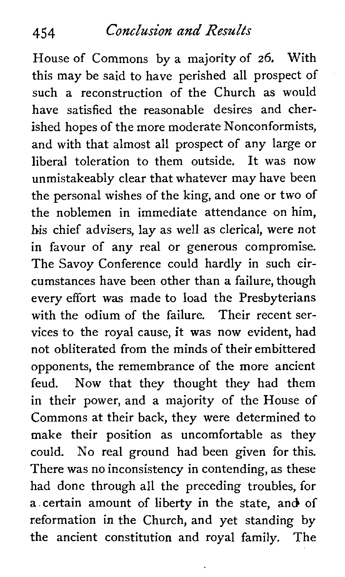House of Commons by a majority of *26,* With this may be said to have perished all prospect of such a reconstruction of the Church as would have satisfied the reasonable desires and cherished hopes of the more moderate Nonconformists, and with that almost all prospect of any large or liberal toleration to them outside. It was now unmistakeably clear that whatever may have been the personal wishes of the king, and one or two of the noblemen in immediate attendance on him, his chief advisers, lay as well as clerical, were not in favour of any real or generous compromise. The Savoy Conference could hardly in such circumstances have been other than a failure, though every effort was made to load the Presbyterians with the odium of the failure. Their recent services to the royal cause, it was now evident, had not obliterated from the minds of their embittered opponents, the remembrance of the more ancient feud. Now that they thought they had them in their power, and a majority of the House of Commons at their back, they were determined to make their position as uncomfortable as they could. No real ground had been given for this. There was no inconsistency in contending, as these had done through all the preceding troubles, for **a** certain amount of liberty in the state, and of reformation in the Church, and yet standing by the ancient constitution and royal family. The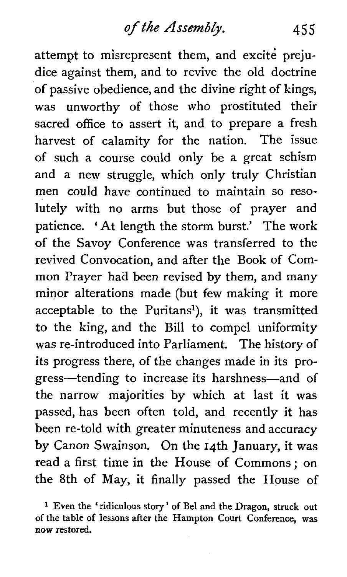attempt to misrepresent them, and excite prejudice against them, and to revive the old doctrine of passive obedience, and the divine right of kings, was unworthy of those who prostituted their sacred office to assert it, and to prepare a fresh harvest of calamity for the nation. The issue of such a course could only be a great schism and a new struggle, which only truly Christian men could have continued to maintain so resolutely with no arms but those of prayer and patience. 'At length the storm burst.' The work of the Savoy Conference was transferred to the revived Convocation, and after the Book of Common Prayer had been revised by them, and many minor alterations made (but few making it more acceptable to the Puritans<sup>1</sup>), it was transmitted to the king, and the Bill to compel uniformity was re-introduced into Parliament. The history of its progress there, of the changes made in its progress-tending to increase its harshness-and of the narrow majorities by which at last it was passed, has been often told, and recently it has been re-told with greater minuteness and accuracy by Canon Swainson. On the 14th January, it was read a first time in the House of Commons; on the 8th of May, it finally passed the House of

**Even the 'ridiculous story** ' **of Be1 and the Dragon, struck out of the table of lessons after the Hampton Court Conference, was now restored.**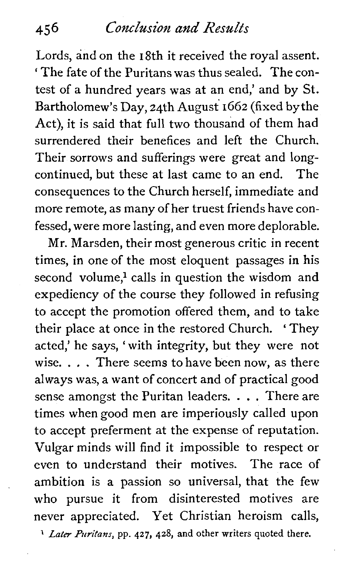Lords, and on the 18th it received the royal assent. ' The fate of the Puritans was thus sealed. The contest of a hundred years was at an end,' and by St. Bartholomew's Day, 24th August 1662 (fixed by the Act), it is said that full two thousand of them had surrendered their benefices and left the Church. Their sorrows and sufferings were great and longcontinued, but these at last came to an end. The consequences to the Church herself, immediate and more remote, as many of her truest friends have confessed, were more lasting, and even more deplorable.

Mr. Marsden, their most generous critic in recent times, in one of the most eloquent passages in his second volume,<sup>1</sup> calls in question the wisdom and expediency of the course they followed in refusing to accept the promotion offered them, and to take their place at once in the restored Church. ' They acted,' he says, 'with integrity, but they were not wise. . . . There seems to have been now, as there always was, a want of concert and of practical good sense amongst the Puritan leaders. . . . There are times when good men are imperiously called upon to accept preferment at the expense of reputation. Vulgar minds will find it impossible to respect or even to understand their motives. The race of ambition is a passion so universal, that the few who pursue it from disinterested motives are never appreciated. Yet Christian heroism calls,

**1** *Later firifam,* **pp. 427,** 428, **and** other writers quoted there.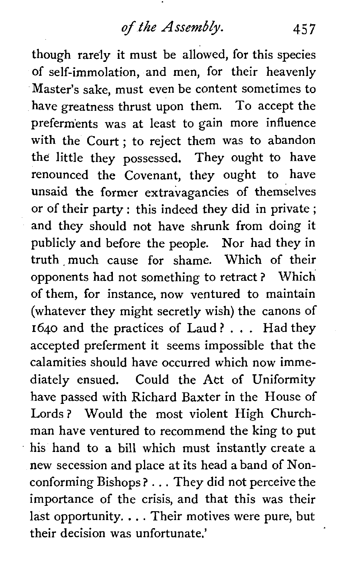though rarely it must be allowed, for this species of self-immolation, and men, for their heavenly Master's sake, must even be content sometimes to have greatness thrust upon them. To accept the preferments was at least to gain more influence with the Court ; to reject them was to abandon the little they possessed. They ought to have renounced the Covenant, they ought to have unsaid the former extravagancies of themselves or of their party : this indeed they did in private ; and they should not have shrunk from doing it publicly and before the people. Nor had they in truth , much cause for shame. Which of their opponents had not something to retract ? Which of them, for instance, now ventured to maintain (whatever they might secretly wish) the canons of 1640 and the practices of Laud ? . . . Had they accepted preferment it seems impossible that the calamities should have occurred which now immediately ensued. Could the Act of Uniformity have passed with Richard Baxter in the House of Lords ? Would the most violent High Churchman have ventured to recommend the king to put his hand to a bill which must instantly create a new secession and place at its head a band of Nonconforming Bishops ? . . . They did not perceive the importance of the crisis, and that this was their last opportunity. . . . Their motives were pure, but their decision was unfortunate.'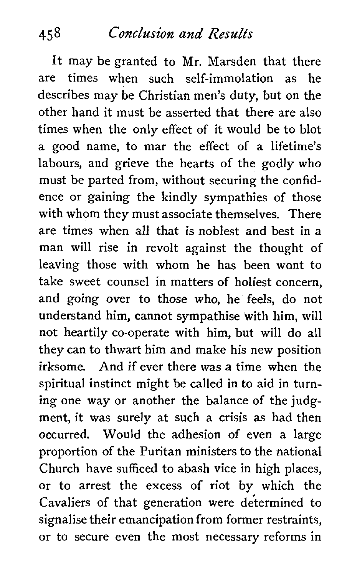It may be granted to Mr. Marsden that there are times when such self-immolation as he describes may be Christian men's duty, but on the other hand it must be asserted that there are also times when the only effect of it would be to blot a good name, to mar the effect of a lifetime's labours, and grieve the hearts of the godly who must be parted from, without securing the confidence or gaining the kindly sympathies of those with whom they must associate themselves. There are times when all that is noblest and best in **a**  man will rise in revolt against the thought of leaving those with whom he has been want to take sweet counsel in matters of holiest concern, and going over to those who, he feels, do not understand him, cannot sympathise with him, will not heartily co-operate with him, but will do all they can to thwart him and make his new position irksome. And if ever there was a time when the spiritual instinct might be called in to aid in turning one way or another the balance of the judgment, it was surely at such a crisis as had then occurred. Would the adhesion of even a large proportion of the Puritan ministers to the national Church have sufficed to abash vice in high places, or to arrest the excess of riot by which the Cavaliers of that generation were determined to signalise their emancipation from former restraints, or to secure even the most necessary reforms in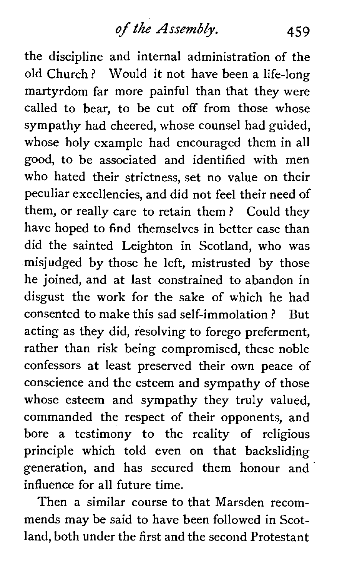**of** *the* **Assembly.** 459

the discipline and internal administration of the old Church ? Would it not have been a life-long martyrdom far more painful than that they were called to bear, to be cut off from those whose sympathy had cheered, whose counsel had guided, whose holy example had encouraged them in all good, to be associated and identified with men who hated their strictness, set no value on their peculiar excellencies, and did not feel their need of them, or really care to retain them ? Could they have hoped to find themselves in better case than did the sainted Leighton in Scotland, who was misjudged by those he left, mistrusted by those he joined, and at last constrained to abandon in disgust the work for the sake of which he had consented to make this sad self-immolation ? But acting as they did, resolving to forego preferment, rather than risk being compromised, these noble confessors at least preserved their own peace of conscience and the esteem and sympathy of those whose esteem and sympathy they truly valued. commanded the respect of their opponents, and bore a testimony to the reality of religious principle which told even on that backsliding generation, and has secured them honour and influence for all future time.

Then a similar course to that Marsden recommends may be said to have been followed in Scotland, both under the first and the second Protestant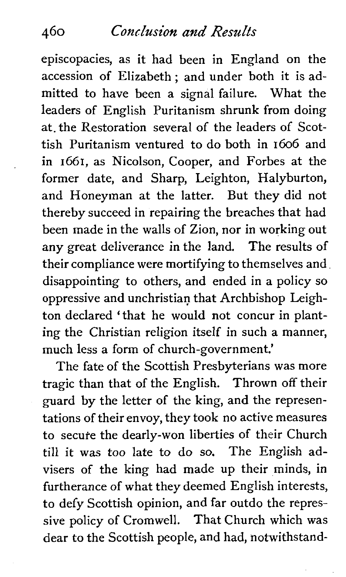episcopacies, as it had been in England on the accession of Elizabeth ; and under both it is admitted to have been a signal failure. What the leaders of English Puritanism shrunk from doing at. the Restoration several of the leaders of Scottish Puritanism ventured to do both in 1606 and in 1661, as Nicolson, Cooper, and Forbes at the former date, and Sharp, Leighton, Halyburton, and Honeyman at the latter. But they did not thereby succeed in repairing the breaches that had been made in the walls of Zion, nor in working out any great deliverance in the land. The results of their compliance were mortifying to themselves and disappointing to others, and ended in a policy so oppressive and unchristian that Archbishop Leighton declared 'that he would not concur in planting the Christian religion itself in such a manner, much less a form of church-government.'

The fate of the Scottish Presbyterians was more tragic than that of the English. Thrown off their guard by the letter of the king, and the representations of their envoy, they took no active measures to secure the dearly-won liberties of their Church till it was too late to do so. The English advisers of the king had made up their minds, in furtherance of what they deemed English interests, to defy Scottish opinion, and far outdo the repressive policy of Cromwell. That Church which was dear to the Scottish people, and had, notwithstand-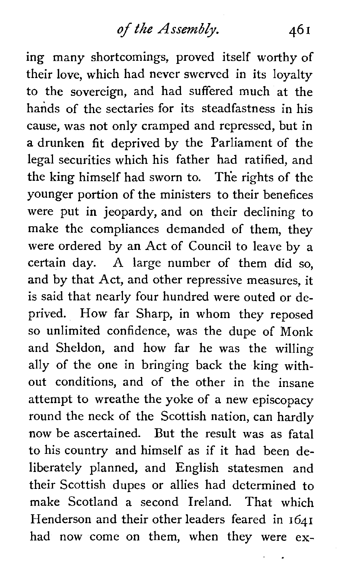ing many shortcomings, proved itself worthy of their love, which had never swerved in its loyalty to the sovereign, and had suffered much at the hands of the sectaries for its steadfastness in his cause, was not only cramped and repressed, but in **a** drunken fit deprived by the Parliament of the legal securities which his father had ratified, and the king himself had sworn to. The rights of the younger portion of the ministers to their benefices were put in jeopardy, and on their declining to make the compliances demanded of them, they were ordered by an Act of Council to leave by a certain day. A large number of them did so, and by that Act, and other repressive measures, it is said that nearly four hundred were outed or deprived. How far Sharp, in whom they reposed so unlimited confidence, was the dupe of Monk and Sheldon, and how far he was the willing ally of the one in bringing back the king without conditions, and of the other in the insane attempt to wreathe the yoke of a new episcopacy round the neck of the Scottish nation, can hardly now be ascertained. But the result was as fatal to his country and himself as if it had been deliberately planned, and English statesmen and their Scottish dupes or allies had determined to make Scotland a second Ireland. That which Henderson and their other leaders feared in **1641**  had now come on them, when they were ex-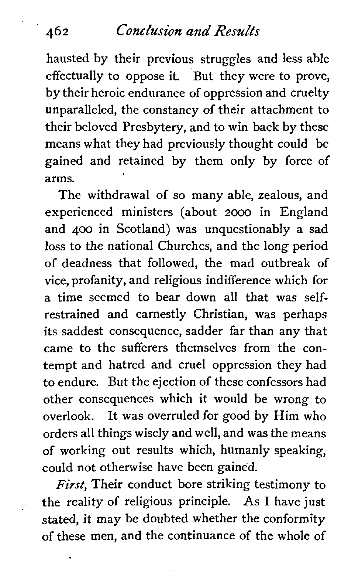hausted by their previous struggles and less able effectually to oppose it. But they were to prove, by their heroic endurance of oppression and cruelty unparalleled, the constancy of their attachment to their beloved Presbytery, and to win back by these means what they had previously thought could be gained and retained by them only by force of arms.

The withdrawal of so many able, zealous, and experienced ministers (about **2000** in England and 400 in Scotland) was unquestionably a sad loss to the national Churches, and the long period of deadness that followed, the mad outbreak of vice, profanity, and religious indifference which for a time seemed to bear down all that was selfrestrained and earnestly Christian, was perhaps its saddest consequence, sadder far than any that came to the sufferers themselves from the contempt and hatred and cruel oppression they had to endure. But the ejection of these confessors had other consequences which it would be wrong to overlook. It was overruled for good by Him who orders all things wisely and well, and was the means of working out results which, humanly speaking, could not otherwise have been gained.

**First,** Their conduct bore striking testimony to , the reality of religious principle. As **1** have just stated, it may be doubted whether the conformity of these men, and the continuance of the whole of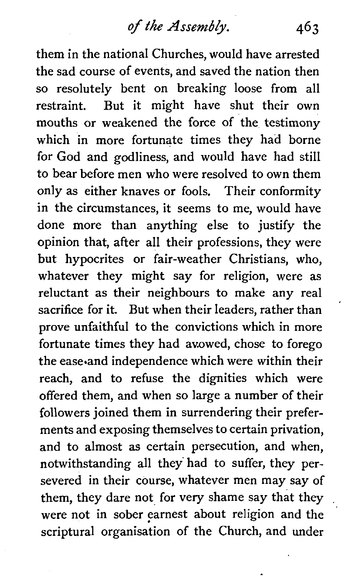them in the national Churches, would have arrested the sad course of events, and saved the nation then so resolutely bent on breaking loose from all restraint. But it might have shut their own mouths or weakened the force of the testimony which in more fortunate times they had borne for God and godliness, and would have had still to bear before men who were resolved to own them only as either knaves or fools. Their conformity in the circumstances, it seems to me, would have done more than anything else to justify the opinion that, after all their professions, they were but hypocrites or fair-weather Christians, who, whatever they might say for religion, were as reluctant as their neighbours to make any real sacrifice for it. But when their leaders, rather than prove unfaithful to the convictions which in more fortunate times they had avowed, chose to forego the ease and independence which were within their reach, and to refuse the dignities which were offered them, and when so large a number of their followers joined them in surrendering their preferments and exposing themselves to certain privation, and to almost as certain persecution, and when, notwithstanding all they had to suffer, they persevered in their course, whatever men may say of them, they dare not for very shame say that they were not in sober earnest about religion and the scriptural organisation of the Church, and under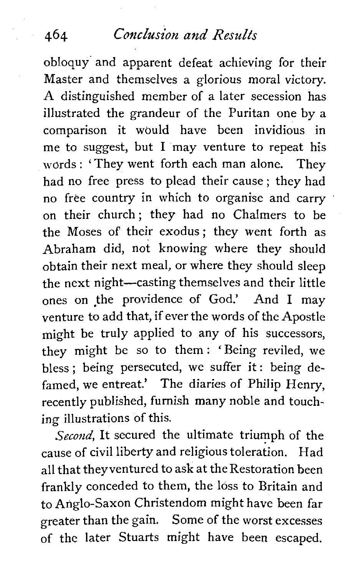obloquy and apparent defeat achieving for their Master and themselves a glorious moral victory. A distinguished member of a later secession has illustrated the grandeur of the Puritan one by a comparison it would have been invidious in me to suggest, but  $I$  may venture to repeat his words : 'They went forth each man alone. They had no free press to plead their cause ; they had no free country in which to organise and carry on their church; they had no Chalmers to be the Moses of their exodus; they went forth as Abraham did, not knowing where they should obtain their next meal, or where they should sleep the next night-casting themselves and their little ones on the providence of God.' And I may venture to add that, if ever the words of the Apostle might be truly applied to any of his successors, they might be SO to them: 'Being reviled, we bless; being persecuted, we suffer it: being defamed, we entreat.' The diaries of Philip Henry, recently published, furnish many noble and touching illustrations of this.

*Second,* It secured the ultimate triumph of the cause of civil liberty and religious toleration. Had all that theyventured to ask at the Restoration been frankly conceded to them, the loss to Britain and to Anglo-Saxon Christendom might have been far greater than the gain. Some of the worst excesses of the later Stuarts might have been escaped.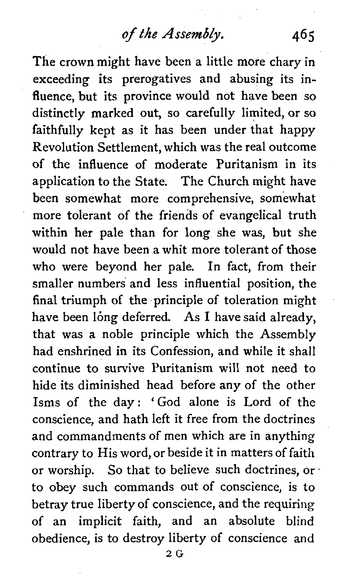The crown might have been a little more chary in exceeding its prerogatives and abusing its influence, but its province would not have been so distinctly marked out, so carefully limited, or so faithfully kept as it has been under that happy Revolution Settlement, which was the real outcome of the influence of moderate Puritanism in its application to the State. The Church might have been somewhat more comprehensive, somewhat more tolerant of the friends of evangelical truth within her pale than for long she was, but she would not have been a whit more tolerant of those who were beyond her pale. In fact, from their smaller numbers and less influential position, the final triumph of the principle of toleration might have been long deferred. As I have said already, that was a noble principle which the Assembly had enshrined in its Confession, and while it shall continue to survive Puritanism will not need to hide its diminished head before any of the other Isms of the day: 'God alone is Lord of the conscience, and hath left it free from the doctrines and commandments of men which are in anything contrary to His word, or beside it in matters of faith or worship. So that to believe such doctrines, or to obey such commands out of conscience, is to betray true liberty of conscience, and the requiring of an implicit faith, and an absolute blind obedience, is to destroy liberty of conscience and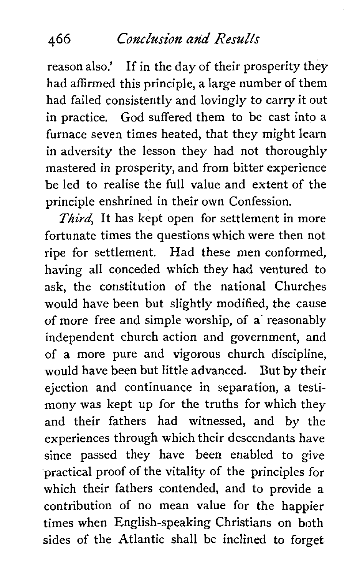reason also.' If in the day of their prosperity they had affirmed this principle, a large number of them had failed consistently and lovingly to carry it out in practice. God suffered them to be cast into a furnace seven times heated, that they might learn in adversity the lesson they had not thoroughly mastered in prosperity, and from bitter experience be led to realise the full value and extent of the principle enshrined in their own Confession.

**Third,** It has kept open for settlement in more fortunate times the questions which were then not ripe for settlement. Had these men conformed, having all conceded which they had ventured to ask, the constitution of the national Churches would have been but slightly modified, the cause of more free and simple worship, of a' reasonably independent church action and government, and of a more pure and vigorous church discipline, would have been but little advanced. But by their ejection and continuance in separation, a testimony was kept up for the truths for which they and their fathers had witnessed, and by the experiences through which their descendants have since passed they have been enabled to give practical proof of the vitality of the principles for which their fathers contended, and to provide a contribution of no mean value for the happier times when English-speaking Christians on both sides of the Atlantic shall be inclined to forget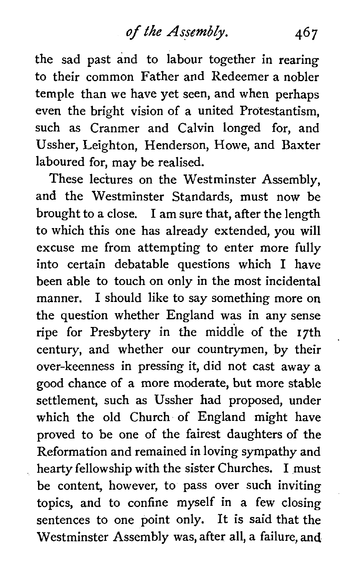the sad past and to labour together in rearing to their common Father and Redeemer a nobler temple than we have yet seen, and when perhaps even the bright vision of a united Protestantism, such as Cranmer and Calvin longed for, and Ussher, Leighton, Henderson, Howe, and Baxter laboured for, may be realised.

These lectures on the Westminster Assembly, and the Westminster Standards, must now be brought to a close. 1 am sure that, after the length to which this one has already extended, you will excuse me from attempting to enter more fully into certain debatable questions which 1 have been able to touch on only in the most incidental manner. 1 should like to say something more on the question whether England was in any sense ripe for Presbytery in the middle of the 17th century, and whether our countrymen, by their over-keenness in pressing it, did not cast away a good chance of a more moderate, but more stable settlement, such as Ussher had proposed, under which the old Church of England might have proved to be one of the fairest daughters of the Reformation and remained in loving sympathy and hearty fellowship with the sister Churches. I must be content, however, to pass over such inviting topics, and to confine myself in a few closing sentences to one point only. It is said that the Westminster Assembly was, after all, a failure, **and**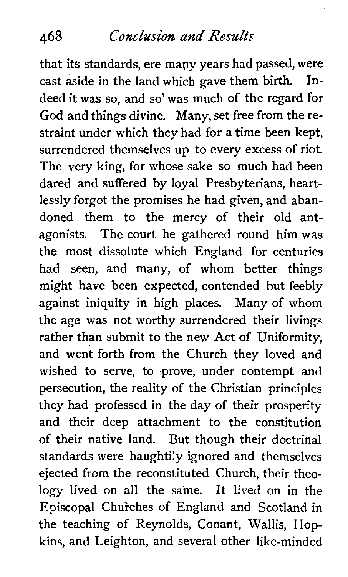that its standards, ere many years had passed, were cast aside in the land which gave them birth. Indeed it was so, and so' was much of the regard for God and things divine. Many, set free from the restraint under which they had for a time been kept, surrendered themselves up to every excess of riot. The very king, for whose sake so much had been dared and suffered by loyal Presbyterians, heartlessly forgot the promises he had given, and abandoned them to the mercy of their old antagonists. The court he gathered round him was the most dissolute which England for centuries had seen, and many, of whom better things might have been expected, contended but feebly against iniquity in high places. Many of whom the age was not worthy surrendered their livings rather than submit to the new Act of Uniformity, and went forth from the Church they loved and wished to serve, to prove, under contempt and persecution, the reality of the Christian principles they had professed in the day of their prosperity and their deep attachment to the constitution of their native land. But though their doctrinal standards were haughtily ignored and themselves ejected from the reconstituted Church, their theology lived on all the same. It lived on in the Episcopal Churches of England and Scotland in the teaching of Reynolds, Conant, Wallis, Hopkins, and Leighton, and several other like-minded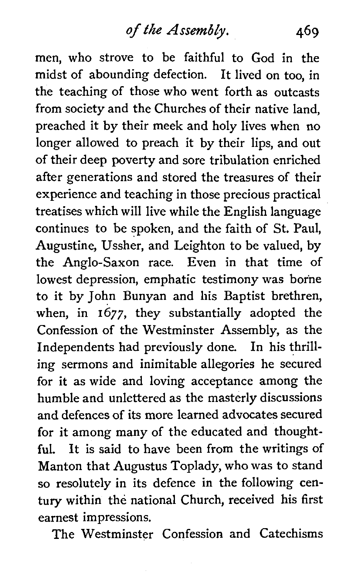**of** *the Assembly.* 469

men, who strove to be faithful to God in the midst of abounding defection. It lived on too, in the teaching of those who went forth as outcasts from society and the Churches of their native land, preached it by their meek and holy lives when no longer allowed to preach it by their lips, and out of their deep poverty and sore tribulation enriched after generations and stored the treasures of their experience and teaching in those precious practical treatises which will live while the English language continues to be spoken, and the faith of St. Paul, Augustine, Ussher, and Leighton to be valued, by the Anglo-Saxon race. Even in that time of lowest depression, emphatic testimony was borne to it by John Bunyan and his Baptist brethren, when, in 1677, they substantially adopted the Confession of the Westminster Assembly, as the Independents had previously done. In his thrilling sermons and inimitable allegories he secured for it as wide and loving acceptance among the humble and unlettered as the masterly discussions and defences of its more learned advocates secured for it among many of the educated and thoughtful. It is said to have been from the writings of Manton that Augustus Toplady, who was to stand so resolutely in its defence in the following century within the national Church, received his first earnest impressions.

The Westminster Confession and Catechisms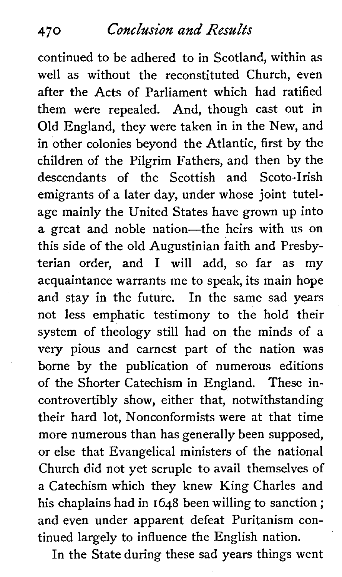continued to be adhered to in Scotland, within as well as without the reconstituted Church, even after the Acts of Parliament which had ratified them were repealed. And, though cast out in Old England, they were taken in in the New, and in other colonies beyond the Atlantic, first by the children of the Pilgrim Fathers, and then by the descendants of the Scottish and Scoto-Irish emigrants of a later day, under whose joint tutelage mainly the United States have grown up into a great and noble nation-the heirs with us on this side of the old Augustinian faith and Presbyterian order, and **1** will add, so far as my acquaintance warrants me to speak, its main hope and stay in the future. In the same sad years not less emphatic testimony to the hold their system of theology still had on the minds of a very pious and earnest part of the nation was borne by the publication of numerous editions of the Shorter Catechism in England. These incontrovertibly show, either that, notwithstanding their hard lot, Nonconformists were at that time more numerous than has generally been supposed, or else that Evangelical ministers of the national Church did not yet scruple to avail themselves of a Catechism which they knew King Charles and his chaplains had in 1648 been willing to sanction ; and even under apparent defeat Puritanism continued largely to influence the English nation.

In the State during these sad years things went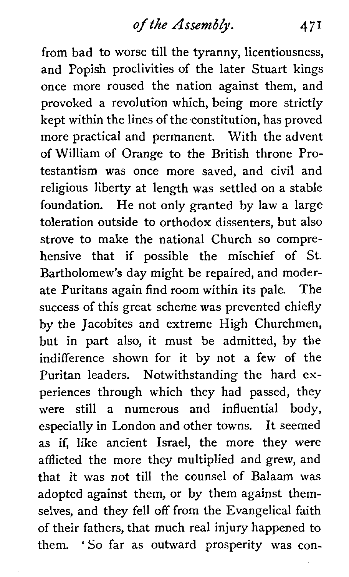from bad to worse till the tyranny, licentiousness, and Popish proclivities of the later Stuart kings once more roused the nation against them, and provoked a revolution which, being more strictly kept within the lines of the-constitution, has proved more practical and permanent. With the advent of William of Orange to the British throne Protestantism was once more saved, and civil and religious liberty at length was settled on a stable foundation. He not only granted by law a large toleration outside to orthodox dissenters, but also strove to make the national Church so comprehensive that if possible the mischief of St. Bartholomew's day might be repaired, and moderate Puritans again find room within its pale. The success of this great scheme was prevented chiefly by the Jacobites and extreme High Churchmen, but in part also, it must be admitted, by the indifference shown for it by not a few of the Puritan leaders. Notwithstanding the hard experiences through which they had passed, they were still a numerous and influential body, especially in London and other towns. It seemed as if, like ancient Israel, the more they were afflicted the more they multiplied and grew, and that it was not till the counsel of Balaam was adopted against them, or by them against themselves, and they fell off from the Evangelical faith of their fathers, that much real injury happened to them. 'So far as outward prosperity was con-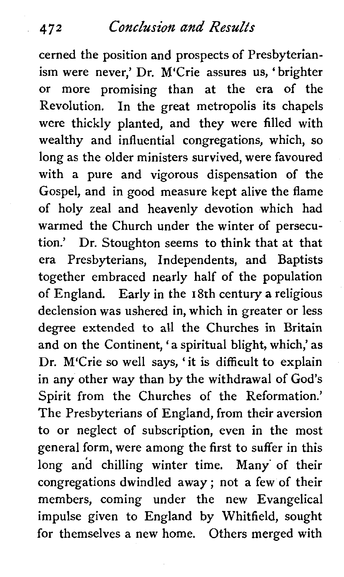#### **472 ConcZizsion and Results**

cerned the position and prospects of Presbyterianism were never,' Dr. M'Crie assures us, ' brighter or more promising than at the era of the Revolution. In the great metropolis its chapels were thickly planted, and they were filled with wealthy and influential congregations, which, so long as the older ministers survived, were favoured with a pure and vigorous dispensation of the Gospel, and in good measure kept alive the flame of holy zeal and heavenly devotion which had warmed the Church under the winter of persecution.' Dr. Stoughton seems to think that at that era Presbyterians, Independents, and Baptists together embraced nearly half of the population of England. Early in the 18th century a religious declension was ushered in, which in greater or less degree extended to all the Churches in Britain and on the Continent, 'a spiritual blight, which,' as Dr. M'Crie so well says, 'it is difficult to explain in any other way than by the withdrawal of God's Spirit from the Churches of the Reformation.' The Presbyterians of England, from their aversion to or neglect of subscription, even in the most general form, were among the first to suffer in this long and chilling winter time. Many' of their congregations dwindled away ; not a few of their members, coming under the new Evangelical impulse given to England by Whitfield, sought for themselves a new home. Others merged with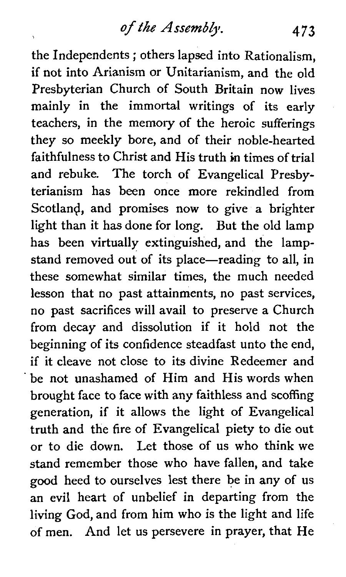the Independents ; others lapsed into Rationalism, if not into Arianism or Unitarianism, and the old Presbyterian Church of South Britain now lives mainly in the immortal writings of its early teachers, in the memory of the heroic sufferings they so meekly bore, and of their noble-hearted faithfulness to Christ and His truth in times of trial and rebuke. The torch of Evangelical Presbyterianism has been once more rekindled from Scotland, and promises now to give a brighter light than it has done for long. But the old lamp has been virtually extinguished, and the lampstand removed out of its place-reading to all, in these somewhat similar times, the much needed lesson that no past attainments, no past services, no past sacrifices will avail to preserve a Church from decay and dissolution if it hold not the beginning of its confidence steadfast unto the end, if it cleave not close to its divine Redeemer and be not unashamed of Him and His words when brought face to face with any faithless and scoffing generation, if it allows the light of Evangelical truth and the fire of Evangelical piety to die out or to die down. Let those of us who think we stand remember those who have fallen, and take good heed to ourselves lest there be in any of us an evil heart of unbelief in departing from the living God, and from him who is the light and life of men. And let us persevere in prayer, that He